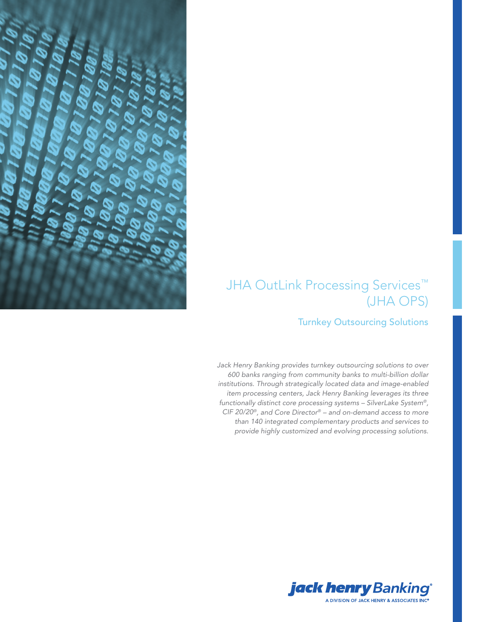

# JHA OutLink Processing Services™ (JHA OPS)

### Turnkey Outsourcing Solutions

*Jack Henry Banking provides turnkey outsourcing solutions to over 600 banks ranging from community banks to multi-billion dollar institutions. Through strategically located data and image-enabled item processing centers, Jack Henry Banking leverages its three functionally distinct core processing systems – SilverLake System®, CIF 20/20®, and Core Director® – and on-demand access to more than 140 integrated complementary products and services to provide highly customized and evolving processing solutions.* 

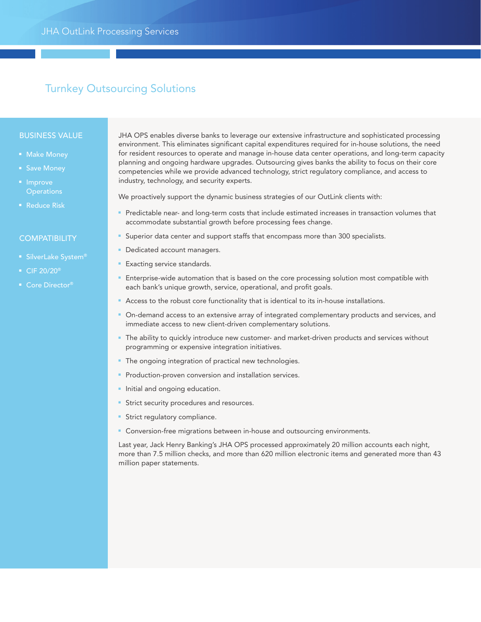## Turnkey Outsourcing Solutions

#### BUSINESS VALUE

- 
- 
- Improve **Operations**
- Reduce Risk

#### **COMPATIBILITY**

- SilverLake System®
- CIF 20/20<sup>®</sup>
- Core Director®

JHA OPS enables diverse banks to leverage our extensive infrastructure and sophisticated processing environment. This eliminates significant capital expenditures required for in-house solutions, the need for resident resources to operate and manage in-house data center operations, and long-term capacity planning and ongoing hardware upgrades. Outsourcing gives banks the ability to focus on their core competencies while we provide advanced technology, strict regulatory compliance, and access to industry, technology, and security experts.

We proactively support the dynamic business strategies of our OutLink clients with:

- Predictable near- and long-term costs that include estimated increases in transaction volumes that accommodate substantial growth before processing fees change.
- Superior data center and support staffs that encompass more than 300 specialists.
- Dedicated account managers.
- Exacting service standards.
- Enterprise-wide automation that is based on the core processing solution most compatible with each bank's unique growth, service, operational, and profit goals.
- Access to the robust core functionality that is identical to its in-house installations.
- On-demand access to an extensive array of integrated complementary products and services, and immediate access to new client-driven complementary solutions.
- The ability to quickly introduce new customer- and market-driven products and services without programming or expensive integration initiatives.
- The ongoing integration of practical new technologies.
- Production-proven conversion and installation services.
- Initial and ongoing education.
- **Strict security procedures and resources.**
- **-** Strict regulatory compliance.
- Conversion-free migrations between in-house and outsourcing environments.

Last year, Jack Henry Banking's JHA OPS processed approximately 20 million accounts each night, more than 7.5 million checks, and more than 620 million electronic items and generated more than 43 million paper statements.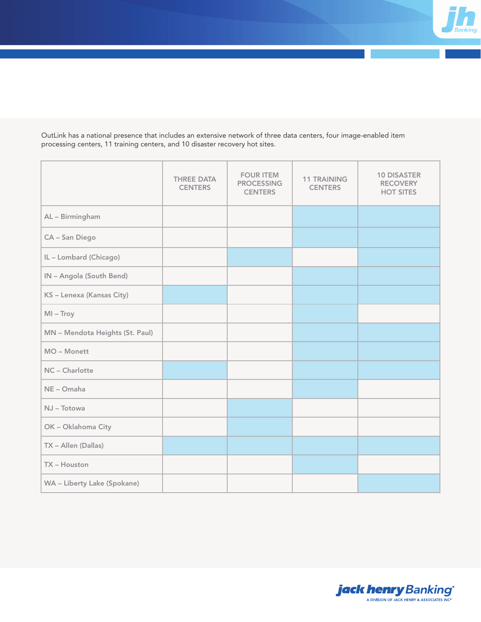

OutLink has a national presence that includes an extensive network of three data centers, four image-enabled item processing centers, 11 training centers, and 10 disaster recovery hot sites.

|                                 | <b>THREE DATA</b><br><b>CENTERS</b> | <b>FOUR ITEM</b><br><b>PROCESSING</b><br><b>CENTERS</b> | <b>11 TRAINING</b><br><b>CENTERS</b> | <b>10 DISASTER</b><br><b>RECOVERY</b><br><b>HOT SITES</b> |
|---------------------------------|-------------------------------------|---------------------------------------------------------|--------------------------------------|-----------------------------------------------------------|
| AL - Birmingham                 |                                     |                                                         |                                      |                                                           |
| CA - San Diego                  |                                     |                                                         |                                      |                                                           |
| IL-Lombard (Chicago)            |                                     |                                                         |                                      |                                                           |
| IN - Angola (South Bend)        |                                     |                                                         |                                      |                                                           |
| KS - Lenexa (Kansas City)       |                                     |                                                         |                                      |                                                           |
| $MI - Troy$                     |                                     |                                                         |                                      |                                                           |
| MN - Mendota Heights (St. Paul) |                                     |                                                         |                                      |                                                           |
| MO - Monett                     |                                     |                                                         |                                      |                                                           |
| NC - Charlotte                  |                                     |                                                         |                                      |                                                           |
| NE - Omaha                      |                                     |                                                         |                                      |                                                           |
| NJ - Totowa                     |                                     |                                                         |                                      |                                                           |
| OK - Oklahoma City              |                                     |                                                         |                                      |                                                           |
| TX - Allen (Dallas)             |                                     |                                                         |                                      |                                                           |
| TX - Houston                    |                                     |                                                         |                                      |                                                           |
| WA - Liberty Lake (Spokane)     |                                     |                                                         |                                      |                                                           |